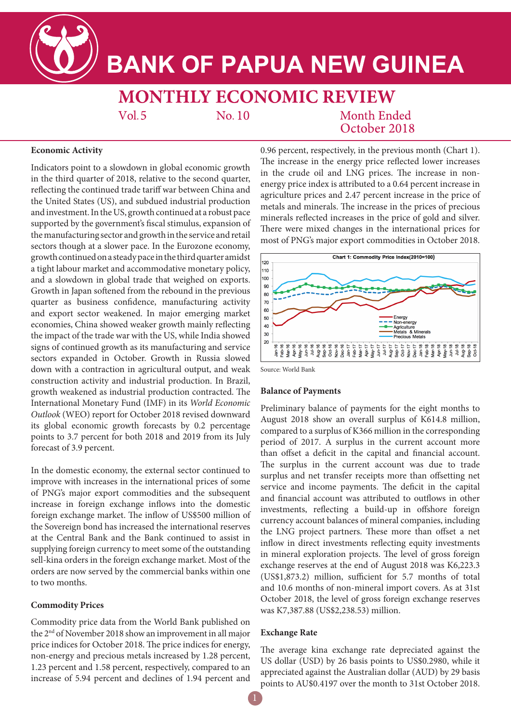

# **BANK OF PAPUA NEW GUINEA**

**MONTHLY ECONOMIC REVIEW Month Ended**  $Vol.5$  $No.10$ 

October 2018

## **Economic Activity**

Indicators point to a slowdown in global economic growth in the third quarter of 2018, relative to the second quarter, reflecting the continued trade tariff war between China and the United States (US), and subdued industrial production and investment. In the US, growth continued at a robust pace supported by the government's fiscal stimulus, expansion of the manufacturing sector and growth in the service and retail sectors though at a slower pace. In the Eurozone economy, growth continued on a steady pace in the third quarter amidst a tight labour market and accommodative monetary policy, and a slowdown in global trade that weighed on exports. Growth in Japan softened from the rebound in the previous quarter as business confidence, manufacturing activity and export sector weakened. In major emerging market economies, China showed weaker growth mainly reflecting the impact of the trade war with the US, while India showed signs of continued growth as its manufacturing and service sectors expanded in October. Growth in Russia slowed down with a contraction in agricultural output, and weak construction activity and industrial production. In Brazil, growth weakened as industrial production contracted. The International Monetary Fund (IMF) in its *World Economic Outlook* (WEO) report for October 2018 revised downward its global economic growth forecasts by 0.2 percentage points to 3.7 percent for both 2018 and 2019 from its July forecast of 3.9 percent.

In the domestic economy, the external sector continued to improve with increases in the international prices of some of PNG's major export commodities and the subsequent increase in foreign exchange inflows into the domestic foreign exchange market. The inflow of US\$500 million of the Sovereign bond has increased the international reserves at the Central Bank and the Bank continued to assist in supplying foreign currency to meet some of the outstanding sell-kina orders in the foreign exchange market. Most of the orders are now served by the commercial banks within one to two months.

# **Commodity Prices**

Commodity price data from the World Bank published on the 2nd of November 2018 show an improvement in all major price indices for October 2018. The price indices for energy, non-energy and precious metals increased by 1.28 percent, 1.23 percent and 1.58 percent, respectively, compared to an increase of 5.94 percent and declines of 1.94 percent and

0.96 percent, respectively, in the previous month (Chart 1). The increase in the energy price reflected lower increases in the crude oil and LNG prices. The increase in nonenergy price index is attributed to a 0.64 percent increase in agriculture prices and 2.47 percent increase in the price of metals and minerals. The increase in the prices of precious minerals reflected increases in the price of gold and silver. There were mixed changes in the international prices for most of PNG's major export commodities in October 2018.



Source: World Bank

## **Balance of Payments**

Preliminary balance of payments for the eight months to August 2018 show an overall surplus of K614.8 million, compared to a surplus of K366 million in the corresponding period of 2017. A surplus in the current account more than offset a deficit in the capital and financial account. The surplus in the current account was due to trade surplus and net transfer receipts more than offsetting net service and income payments. The deficit in the capital and financial account was attributed to outflows in other investments, reflecting a build-up in offshore foreign currency account balances of mineral companies, including the LNG project partners. These more than offset a net inflow in direct investments reflecting equity investments in mineral exploration projects. The level of gross foreign exchange reserves at the end of August 2018 was K6,223.3 (US\$1,873.2) million, sufficient for 5.7 months of total and 10.6 months of non-mineral import covers. As at 31st October 2018, the level of gross foreign exchange reserves was K7,387.88 (US\$2,238.53) million.

### **Exchange Rate**

The average kina exchange rate depreciated against the US dollar (USD) by 26 basis points to US\$0.2980, while it appreciated against the Australian dollar (AUD) by 29 basis points to AU\$0.4197 over the month to 31st October 2018.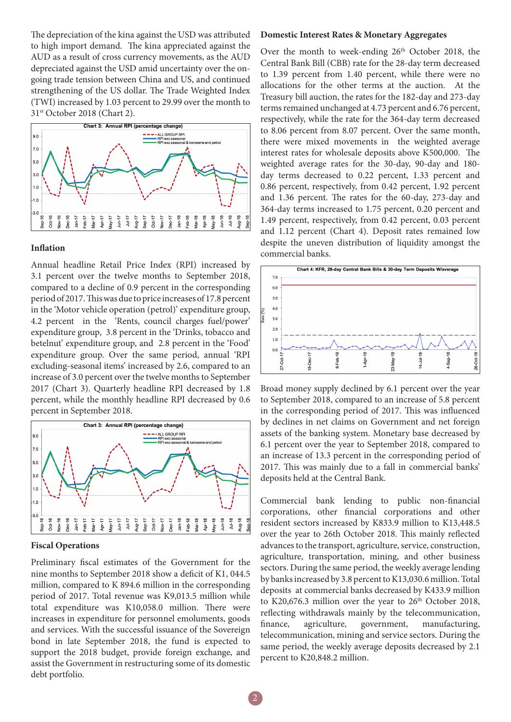The depreciation of the kina against the USD was attributed to high import demand. The kina appreciated against the AUD as a result of cross currency movements, as the AUD depreciated against the USD amid uncertainty over the ongoing trade tension between China and US, and continued strengthening of the US dollar. The Trade Weighted Index (TWI) increased by 1.03 percent to 29.99 over the month to 31st October 2018 (Chart 2).



#### **Inflation**

Annual headline Retail Price Index (RPI) increased by 3.1 percent over the twelve months to September 2018, compared to a decline of 0.9 percent in the corresponding period of 2017. This was due to price increases of 17.8 percent in the 'Motor vehicle operation (petrol)' expenditure group, 4.2 percent in the 'Rents, council charges fuel/power' expenditure group, 3.8 percent in the 'Drinks, tobacco and betelnut' expenditure group, and 2.8 percent in the 'Food' expenditure group. Over the same period, annual 'RPI excluding-seasonal items' increased by 2.6, compared to an increase of 3.0 percent over the twelve months to September 2017 (Chart 3). Quarterly headline RPI decreased by 1.8 percent, while the monthly headline RPI decreased by 0.6 percent in September 2018.



#### **Fiscal Operations**

Preliminary fiscal estimates of the Government for the nine months to September 2018 show a deficit of K1, 044.5 million, compared to K 894.6 million in the corresponding period of 2017. Total revenue was K9,013.5 million while total expenditure was K10,058.0 million. There were increases in expenditure for personnel emoluments, goods and services. With the successful issuance of the Sovereign bond in late September 2018, the fund is expected to support the 2018 budget, provide foreign exchange, and assist the Government in restructuring some of its domestic debt portfolio.

#### **Domestic Interest Rates & Monetary Aggregates**

Over the month to week-ending 26<sup>th</sup> October 2018, the Central Bank Bill (CBB) rate for the 28-day term decreased to 1.39 percent from 1.40 percent, while there were no allocations for the other terms at the auction. At the Treasury bill auction, the rates for the 182-day and 273-day terms remained unchanged at 4.73 percent and 6.76 percent, respectively, while the rate for the 364-day term decreased to 8.06 percent from 8.07 percent. Over the same month, there were mixed movements in the weighted average interest rates for wholesale deposits above K500,000. The weighted average rates for the 30-day, 90-day and 180 day terms decreased to 0.22 percent, 1.33 percent and 0.86 percent, respectively, from 0.42 percent, 1.92 percent and 1.36 percent. The rates for the 60-day, 273-day and 364-day terms increased to 1.75 percent, 0.20 percent and 1.49 percent, respectively, from 0.42 percent, 0.03 percent and 1.12 percent (Chart 4). Deposit rates remained low despite the uneven distribution of liquidity amongst the commercial banks.



Broad money supply declined by 6.1 percent over the year to September 2018, compared to an increase of 5.8 percent in the corresponding period of 2017. This was influenced by declines in net claims on Government and net foreign assets of the banking system. Monetary base decreased by 6.1 percent over the year to September 2018, compared to an increase of 13.3 percent in the corresponding period of 2017. This was mainly due to a fall in commercial banks' deposits held at the Central Bank.

Commercial bank lending to public non-financial corporations, other financial corporations and other resident sectors increased by K833.9 million to K13,448.5 over the year to 26th October 2018. This mainly reflected advances to the transport, agriculture, service, construction, agriculture, transportation, mining, and other business sectors. During the same period, the weekly average lending by banks increased by 3.8 percent to K13,030.6 million. Total deposits at commercial banks decreased by K433.9 million to K20,676.3 million over the year to 26<sup>th</sup> October 2018, reflecting withdrawals mainly by the telecommunication, finance, agriculture, government, manufacturing, telecommunication, mining and service sectors. During the same period, the weekly average deposits decreased by 2.1 percent to K20,848.2 million.